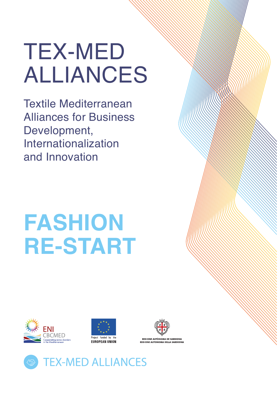# TEX-MED ALLIANCES

Textile Mediterranean Alliances for Business Development, Internationalization and Innovation

# **FASHION RE-START**







**PEGIONE AUTÒNOMA DE SAPDIGNI** 

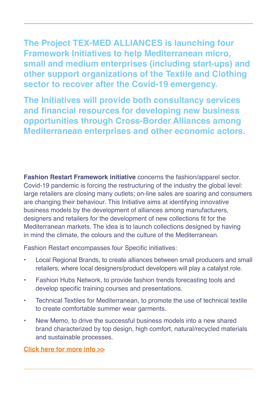**The Project TEX-MED ALLIANCES is launching four Framework Initiatives to help Mediterranean micro, small and medium enterprises (including start-ups) and other support organizations of the Textile and Clothing sector to recover after the Covid-19 emergency.** 

**The Initiatives will provide both consultancy services and financial resources for developing new business opportunities through Cross-Border Alliances among Mediterranean enterprises and other economic actors.**

**Fashion Restart Framework initiative** concerns the fashion/apparel sector. Covid-19 pandemic is forcing the restructuring of the industry the global level: large retailers are closing many outlets; on-line sales are soaring and consumers are changing their behaviour. This Initiative aims at identifying innovative business models by the development of alliances among manufacturers, designers and retailers for the development of new collections fit for the Mediterranean markets. The idea is to launch collections designed by having in mind the climate, the colours and the culture of the Mediterranean.

Fashion Restart encompasses four Specific initiatives:

- Local Regional Brands, to create alliances between small producers and small retailers, where local designers/product developers will play a catalyst role.
- Fashion Hubs Network, to provide fashion trends forecasting tools and develop specific training courses and presentations.
- Technical Textiles for Mediterranean, to promote the use of technical textile to create comfortable summer wear garments.
- New Memo, to drive the successful business models into a new shared brand characterized by top design, high comfort, natural/recycled materials and sustainable processes.

**Click here for [more info >](http://www.enicbcmed.eu/projects/tex-med-alliances)>**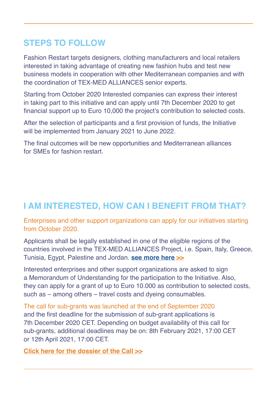## **STEPS TO FOLLOW**

Fashion Restart targets designers, clothing manufacturers and local retailers interested in taking advantage of creating new fashion hubs and test new business models in cooperation with other Mediterranean companies and with the coordination of TEX-MED ALLIANCES senior experts.

Starting from October 2020 Interested companies can express their interest in taking part to this initiative and can apply until 7th December 2020 to get financial support up to Euro 10,000 the project's contribution to selected costs.

After the selection of participants and a first provision of funds, the Initiative will be implemented from January 2021 to June 2022.

The final outcomes will be new opportunities and Mediterranean alliances for SMEs for fashion restart.

# **I AM INTERESTED, HOW CAN I BENEFIT FROM THAT?**

Enterprises and other support organizations can apply for our initiatives starting from October 2020.

Applicants shall be legally established in one of the eligible regions of the countries involved in the TEX-MED ALLIANCES Project, i.e. Spain, Italy, Greece, Tunisia, Egypt, Palestine and Jordan. **[see more here](http://www.enicbcmed.eu/about-us/cooperation-area) >>**

Interested enterprises and other support organizations are asked to sign a Memorandum of Understanding for the participation to the Initiative. Also, they can apply for a grant of up to Euro 10.000 as contribution to selected costs, such as – among others – travel costs and dyeing consumables.

The call for sub-grants was launched at the end of September 2020 and the first deadline for the submission of sub-grant applications is 7th December 2020 CET. Depending on budget availability of this call for sub-grants, additional deadlines may be on: 8th February 2021, 17:00 CET or 12th April 2021, 17:00 CET.

**Click here for the dossier of the Cal[l >>](http://www.enicbcmed.eu/tex-med-alliances-offers-financial-support-foster-internationalization-circular-economy-and)**